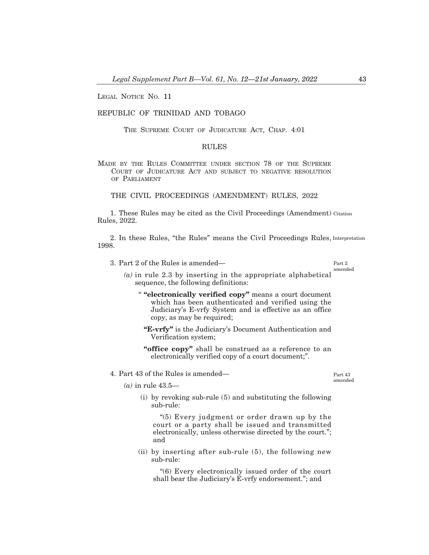LEGAL NOTICE NO. 11

## REPUBLIC OF TRINIDAD AND TOBAGO

THE SUPREME COURT OF JUDICATURE ACT, CHAP. 4:01

## RULES

MADE BY THE RULES COMMITTEE UNDER SECTION 78 OF THE SUPREME COURT OF JUDICATURE ACT AND SUBJECT TO NEGATIVE RESOLUTION OF PARLIAMENT

THE CIVIL PROCEEDINGS (AMENDMENT) RULES, 2022

1. These Rules may be cited as the Civil Proceedings (Amendment) Citation Rules, 2022.

2. In these Rules, "the Rules" means the Civil Proceedings Rules, Interpretation 1998.

3. Part 2 of the Rules is amended–

Part 2 amended

- *(a)* in rule 2.3 by inserting in the appropriate alphabetical sequence, the following definitions:
	- " **"electronically verified copy"** means a court document which has been authenticated and verified using the Judiciary's E-vrfy System and is effective as an office copy, as may be required;
		- **"E-vrfy"** is the Judiciary's Document Authentication and Verification system;
		- **"office copy"** shall be construed as a reference to an electronically verified copy of a court document;".
- 4. Part 43 of the Rules is amended–

Part 43 amended

- *(a)* in rule 43.5–
	- (i) by revoking sub-rule (5) and substituting the following sub-rule:

"(5) Every judgment or order drawn up by the court or a party shall be issued and transmitted electronically, unless otherwise directed by the court."; and

(ii) by inserting after sub-rule (5), the following new sub-rule:

"(6) Every electronically issued order of the court shall bear the Judiciary's E-vrfy endorsement."; and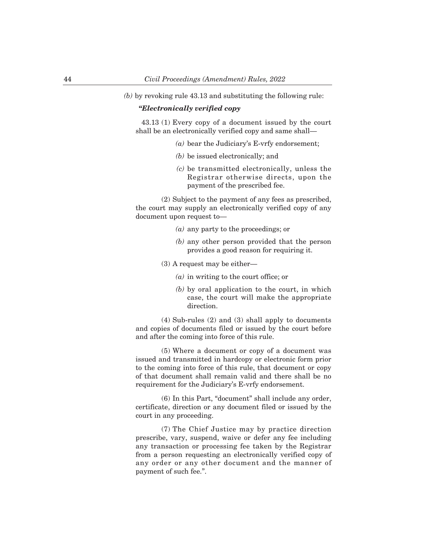*(b)* by revoking rule 43.13 and substituting the following rule:

## *"Electronically verified copy*

43.13 (1) Every copy of a document issued by the court shall be an electronically verified copy and same shall-

- *(a)* bear the Judiciary's E-vrfy endorsement;
- *(b)* be issued electronically; and
- *(c)* be transmitted electronically, unless the Registrar otherwise directs, upon the payment of the prescribed fee.

(2) Subject to the payment of any fees as prescribed, the court may supply an electronically verified copy of any document upon request to–

- *(a)* any party to the proceedings; or
- *(b)* any other person provided that the person provides a good reason for requiring it.
- $(3)$  A request may be either-
	- *(a)* in writing to the court office; or
	- *(b)* by oral application to the court, in which case, the court will make the appropriate direction.

(4) Sub-rules (2) and (3) shall apply to documents and copies of documents filed or issued by the court before and after the coming into force of this rule.

(5) Where a document or copy of a document was issued and transmitted in hardcopy or electronic form prior to the coming into force of this rule, that document or copy of that document shall remain valid and there shall be no requirement for the Judiciary's E-vrfy endorsement.

(6) In this Part, "document" shall include any order, certificate, direction or any document filed or issued by the court in any proceeding.

(7) The Chief Justice may by practice direction prescribe, vary, suspend, waive or defer any fee including any transaction or processing fee taken by the Registrar from a person requesting an electronically verified copy of any order or any other document and the manner of payment of such fee.".